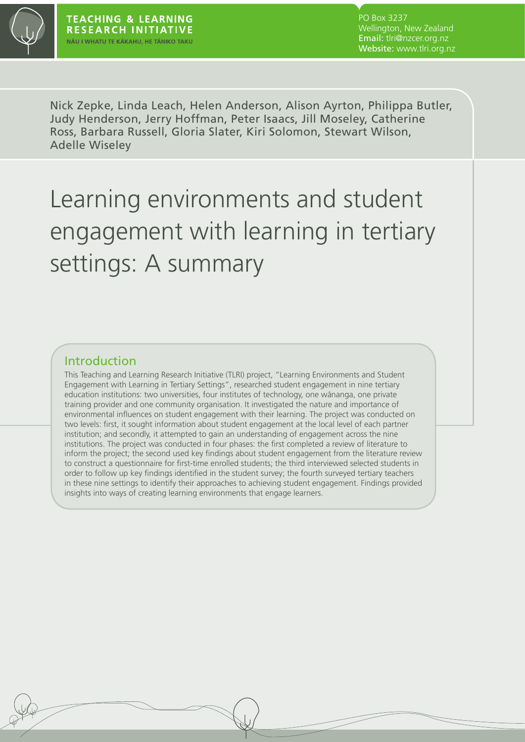

PO Box 3237 Wellington, New Zealand Email: tlri@nzcer.org.nz Website: www.tlri.org.nz

Nick Zepke, Linda Leach, Helen Anderson, Alison Ayrton, Philippa Butler, Judy Henderson, Jerry Hoffman, Peter Isaacs, Jill Moseley, Catherine Ross, Barbara Russell, Gloria Slater, Kiri Solomon, Stewart Wilson, Adelle Wiseley

# Learning environments and student engagement with learning in tertiary settings: A summary

#### Introduction

This Teaching and Learning Research Initiative (TLRI) project, "Learning Environments and Student Engagement with Learning in Tertiary Settings", researched student engagement in nine tertiary education institutions: two universities, four institutes of technology, one wānanga, one private training provider and one community organisation. It investigated the nature and importance of environmental influences on student engagement with their learning. The project was conducted on two levels: first, it sought information about student engagement at the local level of each partner institution; and secondly, it attempted to gain an understanding of engagement across the nine institutions. The project was conducted in four phases: the first completed a review of literature to inform the project; the second used key findings about student engagement from the literature review to construct a questionnaire for first-time enrolled students; the third interviewed selected students in order to follow up key findings identified in the student survey; the fourth surveyed tertiary teachers in these nine settings to identify their approaches to achieving student engagement. Findings provided insights into ways of creating learning environments that engage learners.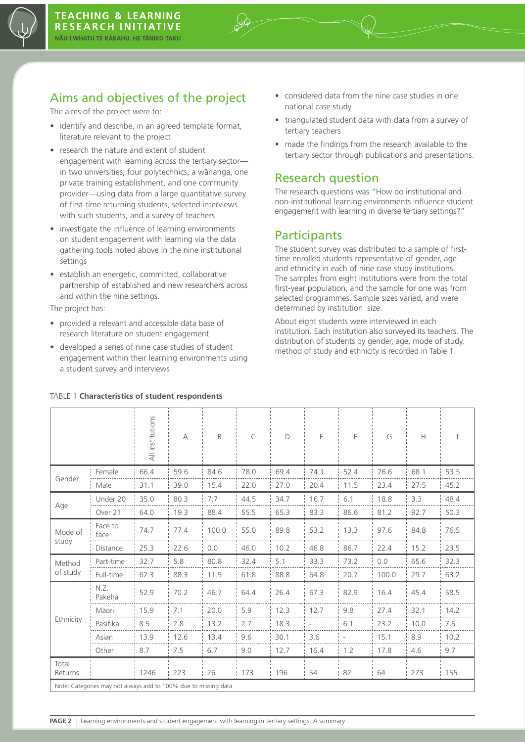

## Aims and objectives of the project

The aims of the project were to:

- identify and describe, in an agreed template format, literature relevant to the project
- research the nature and extent of student engagement with learning across the tertiary sector in two universities, four polytechnics, a wānanga, one private training establishment, and one community provider—using data from a large quantitative survey of first-time returning students, selected interviews with such students, and a survey of teachers
- investigate the influence of learning environments on student engagement with learning via the data gathering tools noted above in the nine institutional settings
- establish an energetic, committed, collaborative partnership of established and new researchers across and within the nine settings.

The project has:

- • provided a relevant and accessible data base of research literature on student engagement
- developed a series of nine case studies of student engagement within their learning environments using a student survey and interviews
- considered data from the nine case studies in one national case study
- triangulated student data with data from a survey of tertiary teachers
- made the findings from the research available to the tertiary sector through publications and presentations.

#### Research question

The research questions was "How do institutional and non-institutional learning environments influence student engagement with learning in diverse tertiary settings?"

#### **Participants**

The student survey was distributed to a sample of firsttime enrolled students representative of gender, age and ethnicity in each of nine case study institutions. The samples from eight institutions were from the total first-year population, and the sample for one was from selected programmes. Sample sizes varied, and were determined by institution size.

About eight students were interviewed in each institution. Each institution also surveyed its teachers. The distribution of students by gender, age, mode of study, method of study and ethnicity is recorded in Table 1.

|                                                                 |                 | All Institutions | А    | B     | C    | D    | Ε    | F    | G     | Н    |      |
|-----------------------------------------------------------------|-----------------|------------------|------|-------|------|------|------|------|-------|------|------|
| Gender                                                          | Female          | 66.4             | 59.6 | 84.6  | 78.0 | 69.4 | 74.1 | 52.4 | 76.6  | 68.1 | 53.5 |
|                                                                 | Male            | 31.1             | 39.0 | 15.4  | 22.0 | 27.0 | 20.4 | 11.5 | 23.4  | 27.5 | 45.2 |
| Age                                                             | Under 20        | 35.0             | 80.3 | 7.7   | 44.5 | 34.7 | 16.7 | 6.1  | 18.8  | 3.3  | 48.4 |
|                                                                 | Over 21         | 64.0             | 19.3 | 88.4  | 55.5 | 65.3 | 83.3 | 86.6 | 81.2  | 92.7 | 50.3 |
| Mode of<br>study                                                | Face to<br>face | 74.7             | 77.4 | 100.0 | 55.0 | 89.8 | 53.2 | 13.3 | 97.6  | 84.8 | 76.5 |
|                                                                 | Distance        | 25.3             | 22.6 | 0.0   | 46.0 | 10.2 | 46.8 | 86.7 | 22.4  | 15.2 | 23.5 |
| Method<br>of study                                              | Part-time       | 32.7             | 5.8  | 80.8  | 32.4 | 5.1  | 33.3 | 73.2 | 0.0   | 65.6 | 32.3 |
|                                                                 | Full-time       | 62.3             | 88.3 | 11.5  | 61.8 | 88.8 | 64.8 | 20.7 | 100.0 | 29.7 | 63.2 |
| Ethnicity                                                       | N.Z.<br>Pakeha  | 52.9             | 70.2 | 46.7  | 64.4 | 26.4 | 67.3 | 82.9 | 16.4  | 45.4 | 58.5 |
|                                                                 | Māori           | 15.9             | 7.1  | 20.0  | 5.9  | 12.3 | 12.7 | 9.8  | 27.4  | 32.1 | 14.2 |
|                                                                 | Pasifika        | 8.5              | 2.8  | 13.2  | 2.7  | 18.3 |      | 6.1  | 23.2  | 10.0 | 7.5  |
|                                                                 | Asian           | 13.9             | 12.6 | 13.4  | 9.6  | 30.1 | 3.6  |      | 15.1  | 8.9  | 10.2 |
|                                                                 | Other           | 8.7              | 7.5  | 6.7   | 9.0  | 12.7 | 16.4 | 1.2  | 17.8  | 4.6  | 9.7  |
| Total<br>Returns                                                |                 | 1246             | 223  | 26    | 173  | 196  | 54   | 82   | 64    | 273  | 155  |
| Note: Categories may not always add to 100% due to missing data |                 |                  |      |       |      |      |      |      |       |      |      |

#### TABLE 1 **Characteristics of student respondents**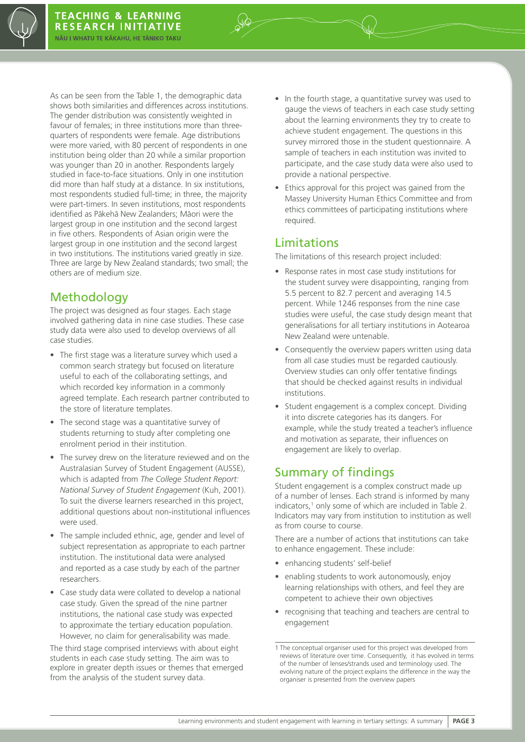As can be seen from the Table 1, the demographic data shows both similarities and differences across institutions. The gender distribution was consistently weighted in favour of females; in three institutions more than threequarters of respondents were female. Age distributions were more varied, with 80 percent of respondents in one institution being older than 20 while a similar proportion was younger than 20 in another. Respondents largely studied in face-to-face situations. Only in one institution did more than half study at a distance. In six institutions, most respondents studied full-time; in three, the majority were part-timers. In seven institutions, most respondents identified as Pākehā New Zealanders; Māori were the largest group in one institution and the second largest in five others. Respondents of Asian origin were the largest group in one institution and the second largest in two institutions. The institutions varied greatly in size. Three are large by New Zealand standards; two small; the others are of medium size.

## **Methodology**

The project was designed as four stages. Each stage involved gathering data in nine case studies. These case study data were also used to develop overviews of all case studies.

- The first stage was a literature survey which used a common search strategy but focused on literature useful to each of the collaborating settings, and which recorded key information in a commonly agreed template. Each research partner contributed to the store of literature templates.
- The second stage was a quantitative survey of students returning to study after completing one enrolment period in their institution.
- The survey drew on the literature reviewed and on the Australasian Survey of Student Engagement (AUSSE), which is adapted from *The College Student Report: National Survey of Student Engagement* (Kuh, 2001). To suit the diverse learners researched in this project, additional questions about non-institutional influences were used.
- The sample included ethnic, age, gender and level of subject representation as appropriate to each partner institution. The institutional data were analysed and reported as a case study by each of the partner researchers.
- Case study data were collated to develop a national case study. Given the spread of the nine partner institutions, the national case study was expected to approximate the tertiary education population. However, no claim for generalisability was made.

The third stage comprised interviews with about eight students in each case study setting. The aim was to explore in greater depth issues or themes that emerged from the analysis of the student survey data.

- In the fourth stage, a quantitative survey was used to gauge the views of teachers in each case study setting about the learning environments they try to create to achieve student engagement. The questions in this survey mirrored those in the student questionnaire. A sample of teachers in each institution was invited to participate, and the case study data were also used to provide a national perspective.
- Ethics approval for this project was gained from the Massey University Human Ethics Committee and from ethics committees of participating institutions where required.

#### Limitations

The limitations of this research project included:

- Response rates in most case study institutions for the student survey were disappointing, ranging from 5.5 percent to 82.7 percent and averaging 14.5 percent. While 1246 responses from the nine case studies were useful, the case study design meant that generalisations for all tertiary institutions in Aotearoa New Zealand were untenable.
- Consequently the overview papers written using data from all case studies must be regarded cautiously. Overview studies can only offer tentative findings that should be checked against results in individual institutions.
- Student engagement is a complex concept. Dividing it into discrete categories has its dangers. For example, while the study treated a teacher's influence and motivation as separate, their influences on engagement are likely to overlap.

#### Summary of findings

Student engagement is a complex construct made up of a number of lenses. Each strand is informed by many indicators,<sup>1</sup> only some of which are included in Table 2. Indicators may vary from institution to institution as well as from course to course.

There are a number of actions that institutions can take to enhance engagement. These include:

- enhancing students' self-belief
- enabling students to work autonomously, enjoy learning relationships with others, and feel they are competent to achieve their own objectives
- recognising that teaching and teachers are central to engagement

<sup>1</sup> The conceptual organiser used for this project was developed from reviews of literature over time. Consequently, it has evolved in terms of the number of lenses/strands used and terminology used. The evolving nature of the project explains the difference in the way the organiser is presented from the overview papers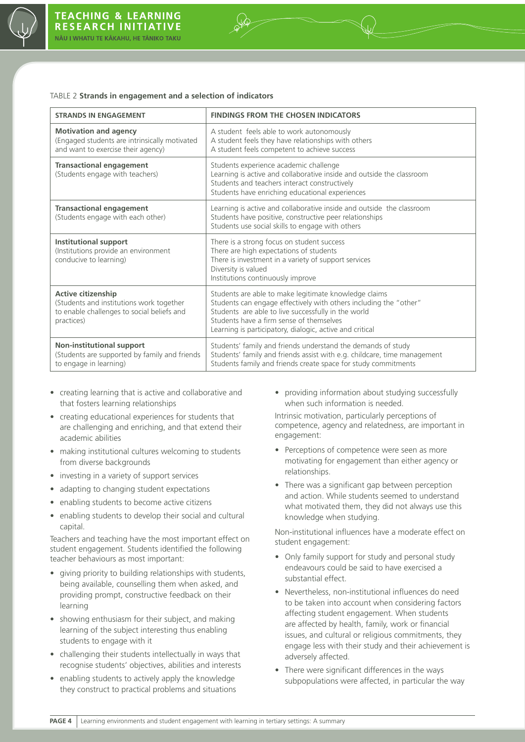

#### TABLE 2 **Strands in engagement and a selection of indicators**

| <b>STRANDS IN ENGAGEMENT</b>                                                                                               | <b>FINDINGS FROM THE CHOSEN INDICATORS</b>                                                                                                                                                                                                                                                |  |  |  |  |  |
|----------------------------------------------------------------------------------------------------------------------------|-------------------------------------------------------------------------------------------------------------------------------------------------------------------------------------------------------------------------------------------------------------------------------------------|--|--|--|--|--|
| <b>Motivation and agency</b><br>(Engaged students are intrinsically motivated<br>and want to exercise their agency)        | A student feels able to work autonomously<br>A student feels they have relationships with others<br>A student feels competent to achieve success                                                                                                                                          |  |  |  |  |  |
| <b>Transactional engagement</b><br>(Students engage with teachers)                                                         | Students experience academic challenge<br>Learning is active and collaborative inside and outside the classroom<br>Students and teachers interact constructively<br>Students have enriching educational experiences                                                                       |  |  |  |  |  |
| <b>Transactional engagement</b><br>(Students engage with each other)                                                       | Learning is active and collaborative inside and outside the classroom<br>Students have positive, constructive peer relationships<br>Students use social skills to engage with others                                                                                                      |  |  |  |  |  |
| <b>Institutional support</b><br>(Institutions provide an environment<br>conducive to learning)                             | There is a strong focus on student success<br>There are high expectations of students<br>There is investment in a variety of support services<br>Diversity is valued<br>Institutions continuously improve                                                                                 |  |  |  |  |  |
| Active citizenship<br>(Students and institutions work together<br>to enable challenges to social beliefs and<br>practices) | Students are able to make legitimate knowledge claims<br>Students can engage effectively with others including the "other"<br>Students are able to live successfully in the world<br>Students have a firm sense of themselves<br>Learning is participatory, dialogic, active and critical |  |  |  |  |  |
| <b>Non-institutional support</b><br>(Students are supported by family and friends<br>to engage in learning)                | Students' family and friends understand the demands of study<br>Students' family and friends assist with e.g. childcare, time management<br>Students family and friends create space for study commitments                                                                                |  |  |  |  |  |

- • creating learning that is active and collaborative and that fosters learning relationships
- • creating educational experiences for students that are challenging and enriching, and that extend their academic abilities
- making institutional cultures welcoming to students from diverse backgrounds
- investing in a variety of support services
- adapting to changing student expectations
- enabling students to become active citizens
- enabling students to develop their social and cultural capital.

Teachers and teaching have the most important effect on student engagement. Students identified the following teacher behaviours as most important:

- giving priority to building relationships with students, being available, counselling them when asked, and providing prompt, constructive feedback on their learning
- showing enthusiasm for their subject, and making learning of the subject interesting thus enabling students to engage with it
- challenging their students intellectually in ways that recognise students' objectives, abilities and interests
- enabling students to actively apply the knowledge they construct to practical problems and situations

• providing information about studying successfully when such information is needed.

Intrinsic motivation, particularly perceptions of competence, agency and relatedness, are important in engagement:

- Perceptions of competence were seen as more motivating for engagement than either agency or relationships.
- There was a significant gap between perception and action. While students seemed to understand what motivated them, they did not always use this knowledge when studying.

Non-institutional influences have a moderate effect on student engagement:

- Only family support for study and personal study endeavours could be said to have exercised a substantial effect.
- Nevertheless, non-institutional influences do need to be taken into account when considering factors affecting student engagement. When students are affected by health, family, work or financial issues, and cultural or religious commitments, they engage less with their study and their achievement is adversely affected.
- There were significant differences in the ways subpopulations were affected, in particular the way